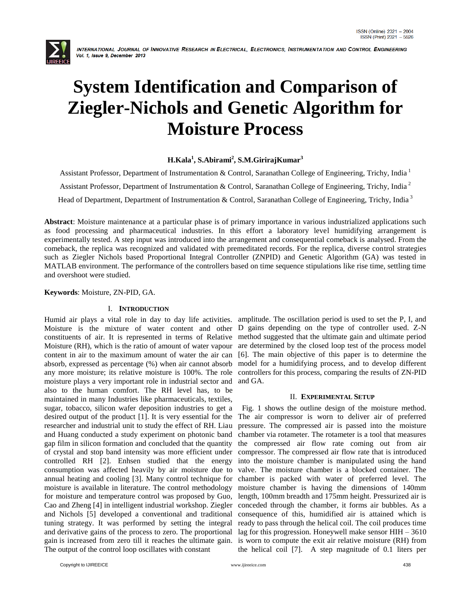

# **System Identification and Comparison of Ziegler-Nichols and Genetic Algorithm for Moisture Process**

## **H.Kala<sup>1</sup> , S.Abirami<sup>2</sup> , S.M.GirirajKumar<sup>3</sup>**

Assistant Professor, Department of Instrumentation & Control, Saranathan College of Engineering, Trichy, India<sup>1</sup> Assistant Professor, Department of Instrumentation & Control, Saranathan College of Engineering, Trichy, India<sup>2</sup> Head of Department, Department of Instrumentation & Control, Saranathan College of Engineering, Trichy, India<sup>3</sup>

**Abstract**: Moisture maintenance at a particular phase is of primary importance in various industrialized applications such as food processing and pharmaceutical industries. In this effort a laboratory level humidifying arrangement is experimentally tested. A step input was introduced into the arrangement and consequential comeback is analysed. From the comeback, the replica was recognized and validated with premeditated records. For the replica, diverse control strategies such as Ziegler Nichols based Proportional Integral Controller (ZNPID) and Genetic Algorithm (GA) was tested in MATLAB environment. The performance of the controllers based on time sequence stipulations like rise time, settling time and overshoot were studied.

**Keywords**: Moisture, ZN-PID, GA.

## I. **INTRODUCTION**

constituents of air. It is represented in terms of Relative Moisture (RH), which is the ratio of amount of water vapour content in air to the maximum amount of water the air can absorb, expressed as percentage (%) when air cannot absorb any more moisture; its relative moisture is 100%. The role moisture plays a very important role in industrial sector and also to the human comfort. The RH level has, to be maintained in many Industries like pharmaceuticals, textiles, sugar, tobacco, silicon wafer deposition industries to get a desired output of the product [1]. It is very essential for the researcher and industrial unit to study the effect of RH. Liau and Huang conducted a study experiment on photonic band gap film in silicon formation and concluded that the quantity of crystal and stop band intensity was more efficient under controlled RH [2]. Enhsen studied that the energy consumption was affected heavily by air moisture due to annual heating and cooling [3]. Many control technique for moisture is available in literature. The control methodology for moisture and temperature control was proposed by Guo, Cao and Zheng [4] in intelligent industrial workshop. Ziegler and Nichols [5] developed a conventional and traditional tuning strategy. It was performed by setting the integral and derivative gains of the process to zero. The proportional gain is increased from zero till it reaches the ultimate gain. The output of the control loop oscillates with constant

Humid air plays a vital role in day to day life activities. amplitude. The oscillation period is used to set the P, I, and Moisture is the mixture of water content and other D gains depending on the type of controller used. Z-N method suggested that the ultimate gain and ultimate period are determined by the closed loop test of the process model [6]. The main objective of this paper is to determine the model for a humidifying process, and to develop different controllers for this process, comparing the results of ZN-PID and GA.

#### II. **EXPERIMENTAL SETUP**

 Fig. 1 shows the outline design of the moisture method. The air compressor is worn to deliver air of preferred pressure. The compressed air is passed into the moisture chamber via rotameter. The rotameter is a tool that measures the compressed air flow rate coming out from air compressor. The compressed air flow rate that is introduced into the moisture chamber is manipulated using the hand valve. The moisture chamber is a blocked container. The chamber is packed with water of preferred level. The moisture chamber is having the dimensions of 140mm length, 100mm breadth and 175mm height. Pressurized air is conceded through the chamber, it forms air bubbles. As a consequence of this, humidified air is attained which is ready to pass through the helical coil. The coil produces time lag for this progression. Honeywell make sensor HIH – 3610 is worn to compute the exit air relative moisture (RH) from the helical coil [7]. A step magnitude of 0.1 liters per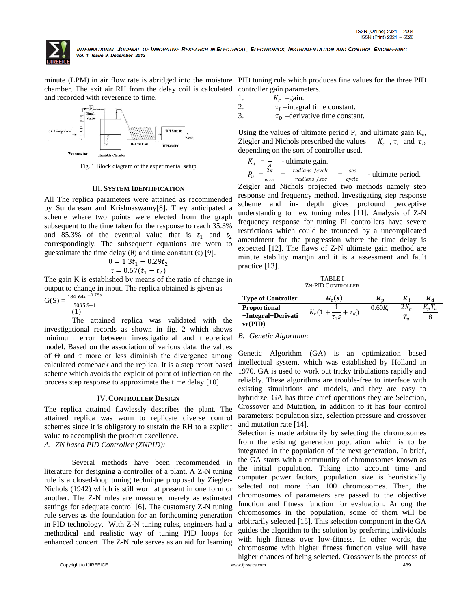

chamber. The exit air RH from the delay coil is calculated controller gain parameters. and recorded with reverence to time.



Fig. 1 Block diagram of the experimental setup

#### III. **SYSTEM IDENTIFICATION**

All The replica parameters were attained as recommended by Sundaresan and Krishnaswamy[8]. They anticipated a scheme where two points were elected from the graph subsequent to the time taken for the response to reach 35.3% and 85.3% of the eventual value that is  $t_1$  and  $t_2$ correspondingly. The subsequent equations are worn to guesstimate the time delay (θ) and time constant (τ) [9].

$$
\theta = 1.3t_1 - 0.29t_2
$$
  
\n
$$
\tau = 0.67(t_1 - t_2)
$$

The gain K is established by means of the ratio of change in output to change in input. The replica obtained is given as

$$
G(S) = \frac{184.64e^{-0.75s}}{50355+1}
$$

(1)

The attained replica was validated with the investigational records as shown in fig. 2 which shows minimum error between investigational and theoretical model. Based on the association of various data, the values of  $\Theta$  and  $\tau$  more or less diminish the divergence among calculated comeback and the replica. It is a step retort based scheme which avoids the exploit of point of inflection on the process step response to approximate the time delay [10].

#### IV.**CONTROLLER DESIGN**

The replica attained flawlessly describes the plant. The attained replica was worn to replicate diverse control schemes since it is obligatory to sustain the RH to a explicit value to accomplish the product excellence.

*A. ZN based PID Controller (ZNPID):*

Several methods have been recommended in literature for designing a controller of a plant. A Z-N tuning rule is a closed-loop tuning technique proposed by Ziegler-Nichols (1942) which is still worn at present in one form or another. The Z-N rules are measured merely as estimated settings for adequate control [6]. The customary Z-N tuning rule serves as the foundation for an forthcoming generation in PID technology. With Z-N tuning rules, engineers had a methodical and realistic way of tuning PID loops for enhanced concert. The Z-N rule serves as an aid for learning

minute (LPM) in air flow rate is abridged into the moisture PID tuning rule which produces fine values for the three PID

- 1.  $K_c$  -gain.
- 2.  $\tau_I$  –integral time constant.<br>3.  $\tau_D$  –derivative time constant.
- $\tau_D$  –derivative time constant.

Using the values of ultimate period  $P_u$  and ultimate gain  $K_u$ , Ziegler and Nichols prescribed the values ,  $\tau_I$  and  $\tau_D$ depending on the sort of controller used.

$$
K_u = \frac{1}{A}
$$
 - ultimate gain.  
\n
$$
P_u = \frac{2\pi}{\omega_{co}} = \frac{radians / cycle}{radians / sec} = \frac{sec}{cycle}
$$
 - ultimate period.

Zeigler and Nichols projected two methods namely step response and frequency method. Investigating step response scheme and in- depth gives profound perceptive understanding to new tuning rules [11]. Analysis of Z-N frequency response for tuning PI controllers have severe restrictions which could be trounced by a uncomplicated amendment for the progression where the time delay is expected [12]. The flaws of Z-N ultimate gain method are minute stability margin and it is a assessment and fault practice [13].

TABLE I ZN-PID CONTROLLER

| <b>Type of Controller</b>                            | $G_c(s)$               | $\mathbf{n}_n$ | K.,  | $K_d$          |
|------------------------------------------------------|------------------------|----------------|------|----------------|
| <b>Proportional</b><br>+Integral+Derivati<br>ve(PID) | $\tau_d$<br>$\tau_1$ S | $0.60K_c$      | - 11 | $\mathbf{u}_n$ |

*B. Genetic Algorithm:*

Genetic Algorithm (GA) is an optimization based intellectual system, which was established by Holland in 1970. GA is used to work out tricky tribulations rapidly and reliably. These algorithms are trouble-free to interface with existing simulations and models, and they are easy to hybridize. GA has three chief operations they are Selection, Crossover and Mutation, in addition to it has four control parameters: population size, selection pressure and crossover and mutation rate [14].

Copyright to IJIREEICE [www.ijireeice.com](http://www.ijireeice.com/) 439 Selection is made arbitrarily by selecting the chromosomes from the existing generation population which is to be integrated in the population of the next generation. In brief, the GA starts with a community of chromosomes known as the initial population. Taking into account time and computer power factors, population size is heuristically selected not more than 100 chromosomes. Then, the chromosomes of parameters are passed to the objective function and fitness function for evaluation. Among the chromosomes in the population, some of them will be arbitrarily selected [15]. This selection component in the GA guides the algorithm to the solution by preferring individuals with high fitness over low-fitness. In other words, the chromosome with higher fitness function value will have higher chances of being selected. Crossover is the process of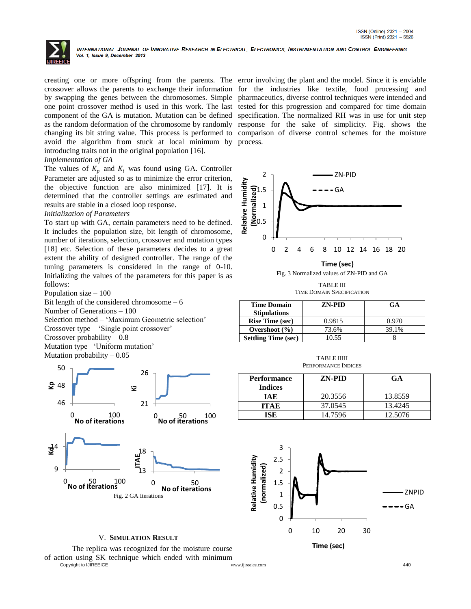

creating one or more offspring from the parents. The error involving the plant and the model. Since it is enviable crossover allows the parents to exchange their information for the industries like textile, food processing and by swapping the genes between the chromosomes. Simple pharmaceutics, diverse control techniques were intended and one point crossover method is used in this work. The last tested for this progression and compared for time domain component of the GA is mutation. Mutation can be defined specification. The normalized RH was in use for unit step as the random deformation of the chromosome by randomly response for the sake of simplicity. Fig. shows the changing its bit string value. This process is performed to comparison of diverse control schemes for the moisture avoid the algorithm from stuck at local minimum by process. introducing traits not in the original population [16].

## *Implementation of GA*

The values of  $K_p$  and  $K_i$  was found using GA. Controller Parameter are adjusted so as to minimize the error criterion, the objective function are also minimized [17]. It is determined that the controller settings are estimated and results are stable in a closed loop response.

## *Initialization of Parameters*

To start up with GA, certain parameters need to be defined. It includes the population size, bit length of chromosome, number of iterations, selection, crossover and mutation types [18] etc. Selection of these parameters decides to a great extent the ability of designed controller. The range of the tuning parameters is considered in the range of 0-10. Initializing the values of the parameters for this paper is as follows:

Population size – 100

Bit length of the considered chromosome – 6 Number of Generations – 100 Selection method – 'Maximum Geometric selection' Crossover type – 'Single point crossover' Crossover probability – 0.8 Mutation type –'Uniform mutation' Mutation probability  $-0.05$ 



## V. **SIMULATION RESULT**

Copyright to IJIREEICE [www.ijireeice.com](http://www.ijireeice.com/) 440 The replica was recognized for the moisture course of action using SK technique which ended with minimum



Fig. 3 Normalized values of ZN-PID and GA

TABLE III TIME DOMAIN SPECIFICATION

| <b>Time Domain</b><br><b>Stipulations</b> | <b>ZN-PID</b> | GA    |
|-------------------------------------------|---------------|-------|
| <b>Rise Time (sec)</b>                    | 0.9815        | 0.970 |
| Overshoot $(\% )$                         | 73.6%         | 39.1% |
| <b>Settling Time (sec)</b>                | 0.55          |       |

| <b>TABLE IIIII</b>  |
|---------------------|
| PERFORMANCE INDICES |

| Performance<br><b>Indices</b> | ZN-PID  | <b>GA</b> |
|-------------------------------|---------|-----------|
| IAE                           | 20.3556 | 13.8559   |
| ITA E                         | 37.0545 | 13.4245   |
| ISE.                          | 14.7596 | 12.5076   |

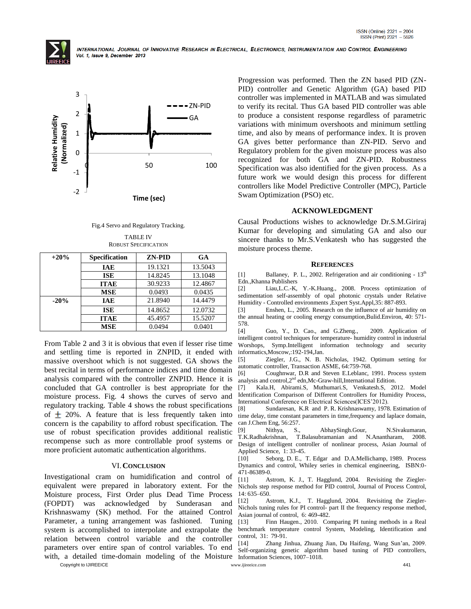



Fig.4 Servo and Regulatory Tracking.

TABLE IV ROBUST SPECIFICATION

| $+20%$ | <b>Specification</b> | <b>ZN-PID</b> | GA      |
|--------|----------------------|---------------|---------|
|        | <b>IAE</b>           | 19.1321       | 13.5043 |
|        | <b>ISE</b>           | 14.8245       | 13.1048 |
|        | <b>ITAE</b>          | 30.9233       | 12.4867 |
|        | <b>MSE</b>           | 0.0493        | 0.0435  |
| $-20%$ | <b>IAE</b>           | 21.8940       | 14.4479 |
|        | <b>ISE</b>           | 14.8652       | 12.0732 |
|        | <b>ITAE</b>          | 45.4957       | 15.5207 |
|        | <b>MSE</b>           | 0.0494        | 0.0401  |

From Table 2 and 3 it is obvious that even if lesser rise time and settling time is reported in ZNPID, it ended with massive overshoot which is not suggested. GA shows the best recital in terms of performance indices and time domain analysis compared with the controller ZNPID. Hence it is concluded that GA controller is best appropriate for the moisture process. Fig. 4 shows the curves of servo and regulatory tracking. Table 4 shows the robust specifications of  $\pm$  20%. A feature that is less frequently taken into concern is the capability to afford robust specification. The use of robust specification provides additional realistic recompense such as more controllable proof systems or more proficient automatic authentication algorithms.

## VI.**CONCLUSION**

Investigational cram on humidification and control of equivalent were prepared in laboratory extent. For the Moisture process, First Order plus Dead Time Process (FOPDT) was acknowledged by Sunderasan and Krishnaswamy (SK) method. For the attained Control Parameter, a tuning arrangement was fashioned. Tuning system is accomplished to interpolate and extrapolate the relation between control variable and the controller parameters over entire span of control variables. To end with, a detailed time-domain modeling of the Moisture

Progression was performed. Then the ZN based PID (ZN-PID) controller and Genetic Algorithm (GA) based PID controller was implemented in MATLAB and was simulated to verify its recital. Thus GA based PID controller was able to produce a consistent response regardless of parametric variations with minimum overshoots and minimum settling time, and also by means of performance index. It is proven GA gives better performance than ZN-PID. Servo and Regulatory problem for the given moisture process was also recognized for both GA and ZN-PID. Robustness Specification was also identified for the given process. As a future work we would design this process for different controllers like Model Predictive Controller (MPC), Particle Swam Optimization (PSO) etc.

## **ACKNOWLEDGMENT**

Causal Productions wishes to acknowledge Dr.S.M.Giriraj Kumar for developing and simulating GA and also our sincere thanks to Mr.S.Venkatesh who has suggested the moisture process theme.

#### **REFERENCES**

[1] Ballaney, P. L., 2002. Refrigeration and air conditioning -  $13<sup>th</sup>$ Edn.,Khanna Publishers

[2] Liau,L.C.-K, Y.-K.Huang., 2008. Process optimization of sedimentation self-assembly of opal photonic crystals under Relative Humidity - Controlled environments ,Expert Syst.Appl,35: 887-893.

[3] Enshen, L., 2005. Research on the influence of air humidity on the annual heating or cooling energy consumption,Bulid.Environ, 40: 571- 578.

[4] Guo, Y., D. Cao., and G.Zheng., 2009. Application of intelligent control techniques for temperature- humidity control in industrial Worshops, Symp.Intelligent information technology and security informatics,Moscow,:192-194,Jan.

[5] Ziegler, J.G., N. B. Nicholas, 1942. Optimum setting for automatic controller, Transaction ASME, 64:759-768.

[6] Coughnwar, D.R and Steven E.Leblanc, 1991. Process system analysis and control,2<sup>nd</sup> edn,Mc-Graw-hill,International Edition.

[7] Kala.H, Abirami.S, Muthumari.S, Venkatesh.S, 2012. Model Identification Comparison of Different Controllers for Humidity Process, International Conference on Electrical Sciences(ICES'2012).

[8] Sundaresan, K.R and P. R. Krishnaswamy, 1978. Estimation of time delay, time constant parameters in time,frequency and laplace domain, can J.Chem Eng, 56:257.<br>[9] Nithya, S.,

[9] Nithya, S., AbhaySingh.Gour, N.Sivakumaran, T.K.Radhakrishnan, T.Balasubramanian and N.Anantharam, 2008. Design of intelligent controller of nonlinear process, Asian Journal of Applied Science, 1: 33-45.

[10] Seborg, D. E., T. Edgar and D.A.Mellichamp, 1989. Process Dynamics and control, Whiley series in chemical engineering, ISBN:0- 471-86389-0.

[11] Astrom, K. J., T. Hagglund, 2004. Revisiting the Ziegler-Nichols step response method for PID control, Journal of Process Control, 14: 635–650.

[12] Astrom, K.J., T. Hagglund, 2004. Revisiting the Ziegler-Nichols tuning rules for PI control- part II the frequency response method, Asian journal of control, 6: 469-482.

[13] Finn Haugen., 2010. Comparing PI tuning methods in a Real benchmark temperature control System, Modeling, Identification and control, 31: 79-91.

[14] Zhang Jinhua, Zhuang Jian, Du Haifeng, Wang Sun'an, 2009. Self-organizing genetic algorithm based tuning of PID controllers, Information Sciences, 1007–1018.

Copyright to IJIREEICE [www.ijireeice.com](http://www.ijireeice.com/) 441